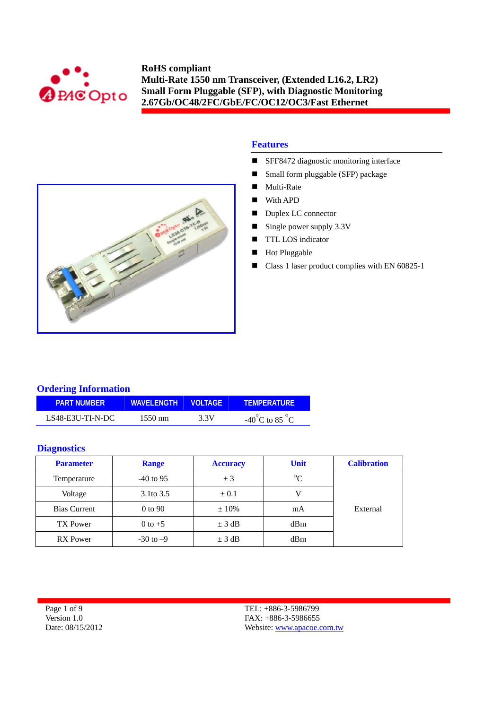



### **Features**

- SFF8472 diagnostic monitoring interface
- Small form pluggable (SFP) package
- **Multi-Rate**
- With APD
- Duplex LC connector
- Single power supply  $3.3V$
- TTL LOS indicator
- **Hot Pluggable**
- Class 1 laser product complies with EN 60825-1

### **Ordering Information**

| <b>PART NUMBER</b> | WAVELENGTH    VOLTAGE' |      | <b>TEMPERATURE</b>                      |
|--------------------|------------------------|------|-----------------------------------------|
| LS48-E3U-TI-N-DC   | $1550 \text{ nm}$      | 3.3V | -40 <sup>°</sup> C to 85 <sup>°</sup> C |

### **Diagnostics**

| <b>Parameter</b>    | <b>Range</b>   | <b>Accuracy</b> | <b>Unit</b> |          |
|---------------------|----------------|-----------------|-------------|----------|
| Temperature         | $-40$ to 95    | ± 3             | $\rm ^{o}C$ |          |
| Voltage             | $3.1$ to $3.5$ | $\pm 0.1$       |             |          |
| <b>Bias Current</b> | 0 to 90        | $\pm 10\%$      | mA          | External |
| <b>TX Power</b>     | $0$ to $+5$    | $\pm$ 3 dB      | dBm         |          |
| <b>RX</b> Power     | $-30$ to $-9$  | $\pm$ 3 dB      | dBm         |          |

Page 1 of 9 Version 1.0 Date: 08/15/2012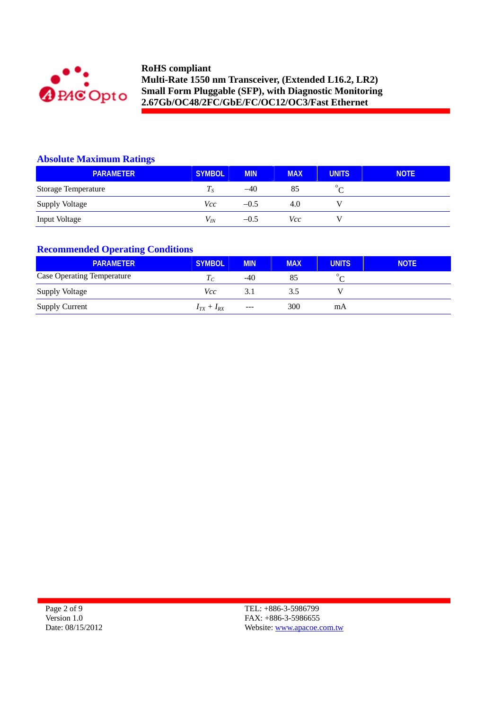

## **Absolute Maximum Ratings**

| PARAMETER                  | <b>SYMBOL</b> | <b>MIN</b> | <b>MAX</b> | <b>UNITS</b> | <b>NOTE</b> |
|----------------------------|---------------|------------|------------|--------------|-------------|
| <b>Storage Temperature</b> | $T_{S}$       | $-40$      | 85         |              |             |
| <b>Supply Voltage</b>      | Vcc           | $-0.5$     | 4.0        |              |             |
| Input Voltage              | $V_{I\!N}$    | $-0.5$     | Vcc        |              |             |

## **Recommended Operating Conditions**

| <b>PARAMETER</b>                  | <b>SYMBOL</b>     | <b>MIN</b> | <b>MAX</b> | <b>UNITS</b> | <b>NOTE</b> |
|-----------------------------------|-------------------|------------|------------|--------------|-------------|
| <b>Case Operating Temperature</b> | $I_C$             | $-40$      | 85         | $\circ$      |             |
| <b>Supply Voltage</b>             | Vcc               | 3.1        | 3.5        |              |             |
| <b>Supply Current</b>             | $I_{TX} + I_{RX}$ | $---$      | 300        | mA           |             |

Page 2 of 9 Version 1.0 Date: 08/15/2012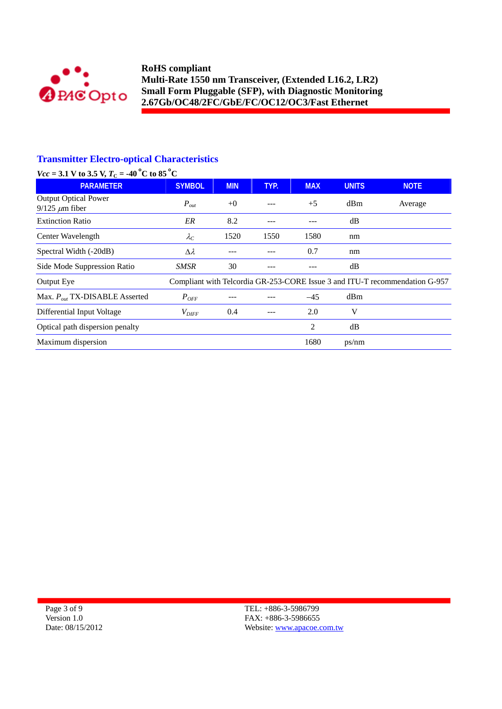

# **Transmitter Electro-optical Characteristics**

| $Vcc = 3.1$ V to 3.5 V, $T_C = -40$ °C to 85 °C      |                   |            |      |                |              |                                                                             |
|------------------------------------------------------|-------------------|------------|------|----------------|--------------|-----------------------------------------------------------------------------|
| <b>PARAMETER</b>                                     | <b>SYMBOL</b>     | <b>MIN</b> | TYP. | <b>MAX</b>     | <b>UNITS</b> | <b>NOTE</b>                                                                 |
| <b>Output Optical Power</b><br>$9/125 \ \mu m$ fiber | $P_{out}$         | $+0$       |      | $+5$           | dBm          | Average                                                                     |
| <b>Extinction Ratio</b>                              | ER                | 8.2        | ---  |                | dB           |                                                                             |
| Center Wavelength                                    | $\lambda_C$       | 1520       | 1550 | 1580           | nm           |                                                                             |
| Spectral Width (-20dB)                               | $\Delta \lambda$  |            |      | 0.7            | nm           |                                                                             |
| Side Mode Suppression Ratio                          | <b>SMSR</b>       | 30         | ---  |                | dB           |                                                                             |
| Output Eye                                           |                   |            |      |                |              | Compliant with Telcordia GR-253-CORE Issue 3 and ITU-T recommendation G-957 |
| Max. $P_{out}$ TX-DISABLE Asserted                   | $P_{OFF}$         |            |      | $-45$          | dBm          |                                                                             |
| Differential Input Voltage                           | $V_{\text{DIFF}}$ | 0.4        |      | 2.0            | V            |                                                                             |
| Optical path dispersion penalty                      |                   |            |      | $\overline{c}$ | dB           |                                                                             |
| Maximum dispersion                                   |                   |            |      | 1680           | ps/nm        |                                                                             |

Page 3 of 9 Version 1.0 Date: 08/15/2012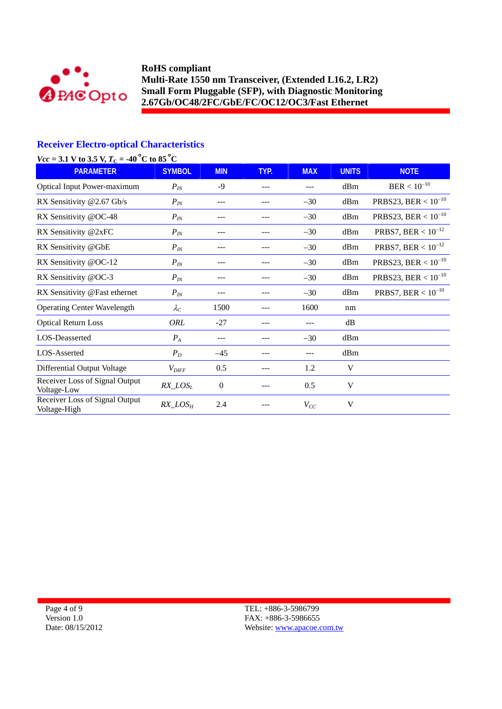

## **Receiver Electro-optical Characteristics**

| $Vcc = 3.1$ V to 3.5 V, $T_C = -40$ °C to 85 °C |                   |                |      |            |              |                          |
|-------------------------------------------------|-------------------|----------------|------|------------|--------------|--------------------------|
| <b>PARAMETER</b>                                | <b>SYMBOL</b>     | <b>MIN</b>     | TYP. | <b>MAX</b> | <b>UNITS</b> | <b>NOTE</b>              |
| <b>Optical Input Power-maximum</b>              | $P_{I\!N}$        | $-9$           | ---  |            | dBm          | $BER < 10^{-10}$         |
| RX Sensitivity @2.67 Gb/s                       | $P_{IN}$          | ---            | ---  | $-30$      | dBm          | PRBS23, BER < $10^{-10}$ |
| RX Sensitivity @OC-48                           | $P_{IN}$          | ---            | ---  | $-30$      | dBm          | PRBS23, BER < $10^{-10}$ |
| RX Sensitivity @2xFC                            | $P_{IN}$          | ---            |      | $-30$      | dBm          | PRBS7, BER < $10^{-12}$  |
| RX Sensitivity @GbE                             | $P_{IN}$          |                |      | $-30$      | dBm          | PRBS7, BER < $10^{-12}$  |
| RX Sensitivity @OC-12                           | $P_{IN}$          | ---            |      | $-30$      | dBm          | PRBS23, BER < $10^{-10}$ |
| RX Sensitivity @OC-3                            | $P_{IN}$          | ---            |      | $-30$      | dBm          | PRBS23, BER < $10^{-10}$ |
| RX Sensitivity @Fast ethernet                   | $P_{IN}$          | ---            |      | $-30$      | dBm          | PRBS7, BER < $10^{-10}$  |
| <b>Operating Center Wavelength</b>              | $\lambda_C$       | 1500           | ---  | 1600       | nm           |                          |
| <b>Optical Return Loss</b>                      | ORL               | $-27$          | ---  | ---        | dB           |                          |
| LOS-Deasserted                                  | $P_A$             | ---            |      | $-30$      | dBm          |                          |
| LOS-Asserted                                    | $P_D$             | $-45$          |      | ---        | dBm          |                          |
| Differential Output Voltage                     | $V_{\text{DIFF}}$ | 0.5            | ---  | 1.2        | V            |                          |
| Receiver Loss of Signal Output<br>Voltage-Low   | $RX\_LOS_L$       | $\overline{0}$ |      | 0.5        | V            |                          |
| Receiver Loss of Signal Output<br>Voltage-High  | $RX\_LOS_H$       | 2.4            |      | $V_{CC}$   | V            |                          |

Page 4 of 9 Version 1.0 Date: 08/15/2012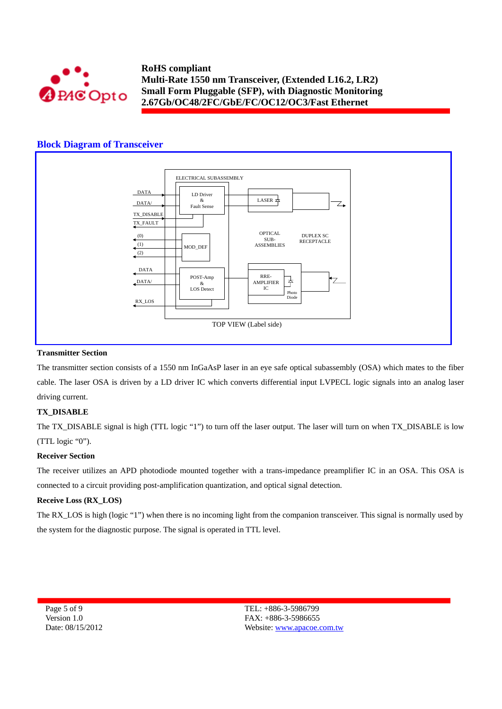

### **Block Diagram of Transceiver**



#### **Transmitter Section**

The transmitter section consists of a 1550 nm InGaAsP laser in an eye safe optical subassembly (OSA) which mates to the fiber cable. The laser OSA is driven by a LD driver IC which converts differential input LVPECL logic signals into an analog laser driving current.

#### **TX\_DISABLE**

The TX\_DISABLE signal is high (TTL logic "1") to turn off the laser output. The laser will turn on when TX\_DISABLE is low (TTL logic "0").

#### **Receiver Section**

The receiver utilizes an APD photodiode mounted together with a trans-impedance preamplifier IC in an OSA. This OSA is connected to a circuit providing post-amplification quantization, and optical signal detection.

#### **Receive Loss (RX\_LOS)**

The RX\_LOS is high (logic "1") when there is no incoming light from the companion transceiver. This signal is normally used by the system for the diagnostic purpose. The signal is operated in TTL level.

Page 5 of 9 Version 1.0 Date: 08/15/2012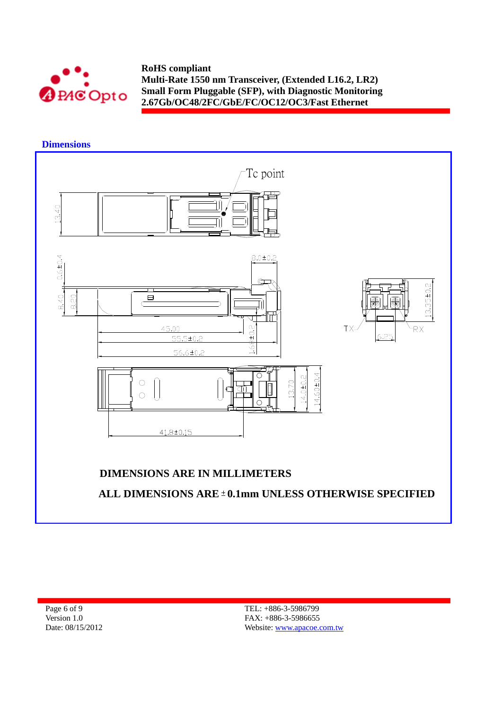

 **Dimensions** 



Page 6 of 9 Version 1.0 Date: 08/15/2012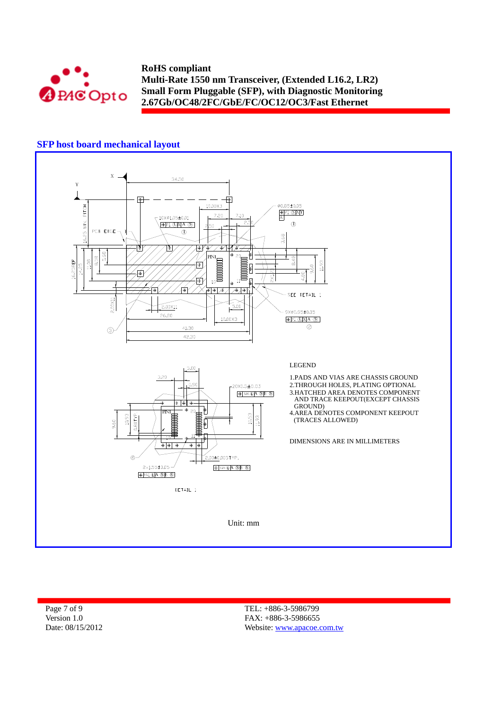

### **SFP host board mechanical layout**



Page 7 of 9 Version 1.0 Date: 08/15/2012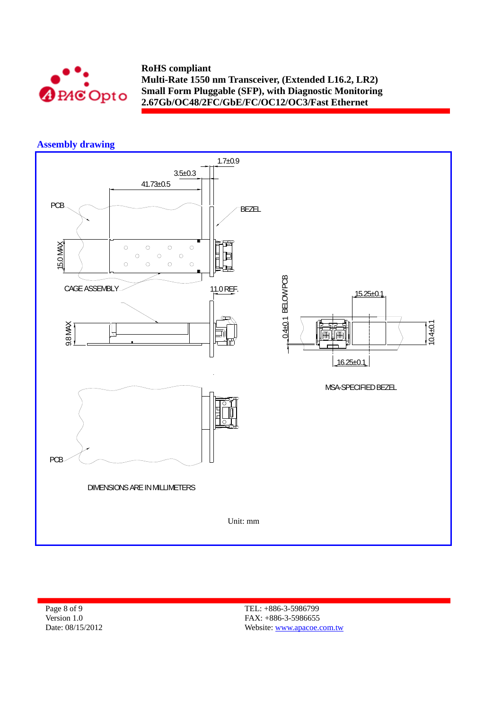

# **Assembly drawing**



Page 8 of 9 Version 1.0 Date: 08/15/2012